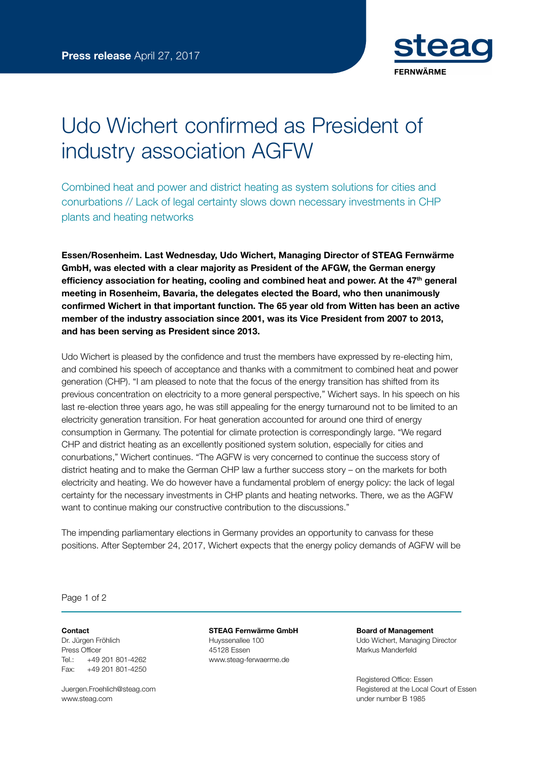

## Udo Wichert confirmed as President of industry association AGFW

Combined heat and power and district heating as system solutions for cities and conurbations // Lack of legal certainty slows down necessary investments in CHP plants and heating networks

Essen/Rosenheim. Last Wednesday, Udo Wichert, Managing Director of STEAG Fernwärme GmbH, was elected with a clear majority as President of the AFGW, the German energy efficiency association for heating, cooling and combined heat and power. At the  $47<sup>th</sup>$  general meeting in Rosenheim, Bavaria, the delegates elected the Board, who then unanimously confirmed Wichert in that important function. The 65 year old from Witten has been an active member of the industry association since 2001, was its Vice President from 2007 to 2013, and has been serving as President since 2013.

Udo Wichert is pleased by the confidence and trust the members have expressed by re-electing him, and combined his speech of acceptance and thanks with a commitment to combined heat and power generation (CHP). "I am pleased to note that the focus of the energy transition has shifted from its previous concentration on electricity to a more general perspective," Wichert says. In his speech on his last re-election three years ago, he was still appealing for the energy turnaround not to be limited to an electricity generation transition. For heat generation accounted for around one third of energy consumption in Germany. The potential for climate protection is correspondingly large. "We regard CHP and district heating as an excellently positioned system solution, especially for cities and conurbations," Wichert continues. "The AGFW is very concerned to continue the success story of district heating and to make the German CHP law a further success story – on the markets for both electricity and heating. We do however have a fundamental problem of energy policy: the lack of legal certainty for the necessary investments in CHP plants and heating networks. There, we as the AGFW want to continue making our constructive contribution to the discussions."

The impending parliamentary elections in Germany provides an opportunity to canvass for these positions. After September 24, 2017, Wichert expects that the energy policy demands of AGFW will be

Page 1 of 2

## Contact

Dr. Jürgen Fröhlich Press Officer Tel.: +49 201 801-4262 Fax: +49 201 801-4250

Juergen.Froehlich@steag.com www.steag.com

STEAG Fernwärme GmbH Huyssenallee 100 45128 Essen www.steag-ferwaerme.de

Board of Management Udo Wichert, Managing Director Markus Manderfeld

Registered Office: Essen Registered at the Local Court of Essen under number B 1985